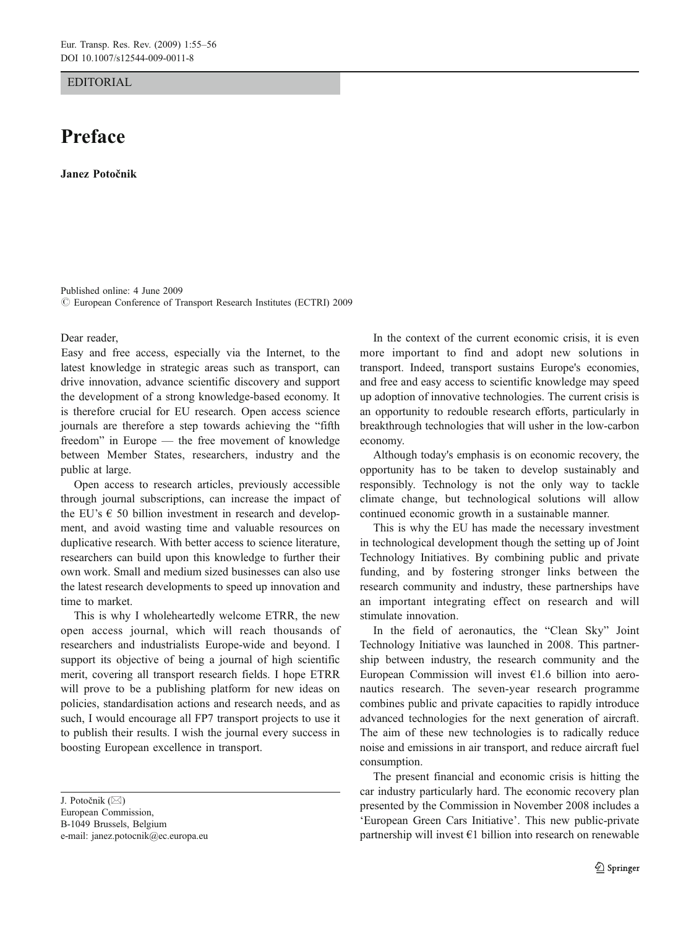EDITORIAL

## Preface

Janez Potočnik

Published online: 4 June 2009  $\odot$  European Conference of Transport Research Institutes (ECTRI) 2009

Dear reader,

Easy and free access, especially via the Internet, to the latest knowledge in strategic areas such as transport, can drive innovation, advance scientific discovery and support the development of a strong knowledge-based economy. It is therefore crucial for EU research. Open access science journals are therefore a step towards achieving the "fifth freedom" in Europe — the free movement of knowledge between Member States, researchers, industry and the public at large.

Open access to research articles, previously accessible through journal subscriptions, can increase the impact of the EU's  $\epsilon$  50 billion investment in research and development, and avoid wasting time and valuable resources on duplicative research. With better access to science literature, researchers can build upon this knowledge to further their own work. Small and medium sized businesses can also use the latest research developments to speed up innovation and time to market.

This is why I wholeheartedly welcome ETRR, the new open access journal, which will reach thousands of researchers and industrialists Europe-wide and beyond. I support its objective of being a journal of high scientific merit, covering all transport research fields. I hope ETRR will prove to be a publishing platform for new ideas on policies, standardisation actions and research needs, and as such, I would encourage all FP7 transport projects to use it to publish their results. I wish the journal every success in boosting European excellence in transport.

J. Potočnik (*\**) European Commission, B-1049 Brussels, Belgium e-mail: janez.potocnik@ec.europa.eu

In the context of the current economic crisis, it is even more important to find and adopt new solutions in transport. Indeed, transport sustains Europe's economies, and free and easy access to scientific knowledge may speed up adoption of innovative technologies. The current crisis is an opportunity to redouble research efforts, particularly in breakthrough technologies that will usher in the low-carbon economy.

Although today's emphasis is on economic recovery, the opportunity has to be taken to develop sustainably and responsibly. Technology is not the only way to tackle climate change, but technological solutions will allow continued economic growth in a sustainable manner.

This is why the EU has made the necessary investment in technological development though the setting up of Joint Technology Initiatives. By combining public and private funding, and by fostering stronger links between the research community and industry, these partnerships have an important integrating effect on research and will stimulate innovation.

In the field of aeronautics, the "Clean Sky" Joint Technology Initiative was launched in 2008. This partnership between industry, the research community and the European Commission will invest  $E1.6$  billion into aeronautics research. The seven-year research programme combines public and private capacities to rapidly introduce advanced technologies for the next generation of aircraft. The aim of these new technologies is to radically reduce noise and emissions in air transport, and reduce aircraft fuel consumption.

The present financial and economic crisis is hitting the car industry particularly hard. The economic recovery plan presented by the Commission in November 2008 includes a 'European Green Cars Initiative'. This new public-private partnership will invest €1 billion into research on renewable